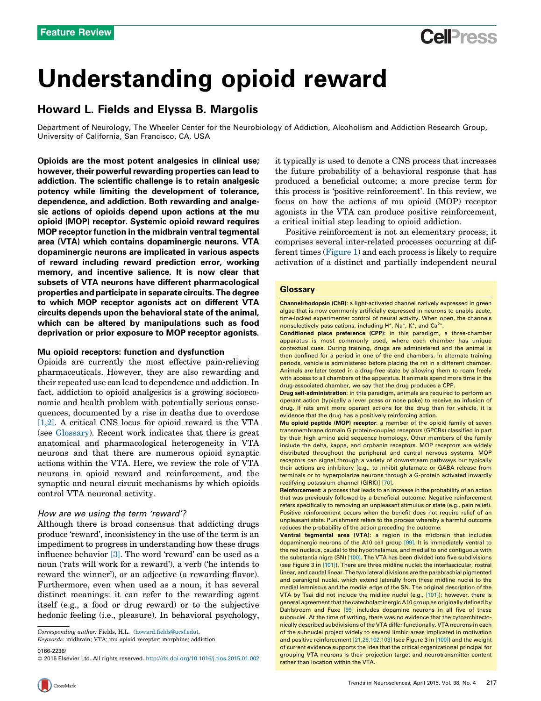# Understanding opioid reward

# Howard L. Fields and Elyssa B. Margolis

Department of Neurology, The Wheeler Center for the Neurobiology of Addiction, Alcoholism and Addiction Research Group, University of California, San Francisco, CA, USA

Opioids are the most potent analgesics in clinical use; however, their powerful rewarding properties can lead to addiction. The scientific challenge is to retain analgesic potency while limiting the development of tolerance, dependence, and addiction. Both rewarding and analgesic actions of opioids depend upon actions at the mu opioid (MOP) receptor. Systemic opioid reward requires MOP receptor function in the midbrain ventral tegmental area (VTA) which contains dopaminergic neurons. VTA dopaminergic neurons are implicated in various aspects of reward including reward prediction error, working memory, and incentive salience. It is now clear that subsets of VTA neurons have different pharmacological properties and participate in separate circuits. The degree to which MOP receptor agonists act on different VTA circuits depends upon the behavioral state of the animal, which can be altered by manipulations such as food deprivation or prior exposure to MOP receptor agonists.

#### Mu opioid receptors: function and dysfunction

Opioids are currently the most effective pain-relieving pharmaceuticals. However, they are also rewarding and their repeated use can lead to dependence and addiction. In fact, addiction to opioid analgesics is a growing socioeconomic and health problem with potentially serious consequences, documented by a rise in deaths due to overdose [\[1,2\].](#page-6-0) A critical CNS locus for opioid reward is the VTA (see Glossary). Recent work indicates that there is great anatomical and pharmacological heterogeneity in VTA neurons and that there are numerous opioid synaptic actions within the VTA. Here, we review the role of VTA neurons in opioid reward and reinforcement, and the synaptic and neural circuit mechanisms by which opioids control VTA neuronal activity.

#### How are we using the term 'reward'?

Although there is broad consensus that addicting drugs produce 'reward', inconsistency in the use of the term is an impediment to progress in understanding how these drugs influence behavior [\[3\]](#page-6-0). The word 'reward' can be used as a noun ('rats will work for a reward'), a verb ('he intends to reward the winner'), or an adjective (a rewarding flavor). Furthermore, even when used as a noun, it has several distinct meanings: it can refer to the rewarding agent itself (e.g., a food or drug reward) or to the subjective hedonic feeling (i.e., pleasure). In behavioral psychology,

Corresponding author: Fields, H.L. [\(howard.fields@ucsf.edu](mailto:howard.fields@ucsf.edu)).

Keywords: midbrain; VTA; mu opioid receptor; morphine; addiction.

0166-2236/

© 2015 Elsevier Ltd. All rights reserved. <http://dx.doi.org/10.1016/j.tins.2015.01.002>

it typically is used to denote a CNS process that increases the future probability of a behavioral response that has produced a beneficial outcome; a more precise term for this process is 'positive reinforcement'. In this review, we focus on how the actions of mu opioid (MOP) receptor agonists in the VTA can produce positive reinforcement, a critical initial step leading to opioid addiction.

Positive reinforcement is not an elementary process; it comprises several inter-related processes occurring at different times ([Figure](#page-1-0) 1) and each process is likely to require activation of a distinct and partially independent neural

#### **Glossary**

Channelrhodopsin (ChR): a light-activated channel natively expressed in green algae that is now commonly artificially expressed in neurons to enable acute, time-locked experimenter control of neural activity. When open, the channels nonselectively pass cations, including H<sup>+</sup>, Na<sup>+</sup>, K<sup>+</sup>, and Ca<sup>2+</sup>.

Conditioned place preference (CPP): in this paradigm, a three-chamber apparatus is most commonly used, where each chamber has unique contextual cues. During training, drugs are administered and the animal is then confined for a period in one of the end chambers. In alternate training periods, vehicle is administered before placing the rat in a different chamber. Animals are later tested in a drug-free state by allowing them to roam freely with access to all chambers of the apparatus. If animals spend more time in the drug-associated chamber, we say that the drug produces a CPP.

Drug self-administration: in this paradigm, animals are required to perform an operant action (typically a lever press or nose poke) to receive an infusion of drug. If rats emit more operant actions for the drug than for vehicle, it is evidence that the drug has a positively reinforcing action.

Mu opioid peptide (MOP) receptor: a member of the opioid family of seven transmembrane domain G protein-coupled receptors (GPCRs) classified in part by their high amino acid sequence homology. Other members of the family include the delta, kappa, and orphanin receptors. MOP receptors are widely distributed throughout the peripheral and central nervous systems. MOP receptors can signal through a variety of downstream pathways but typically their actions are inhibitory [e.g., to inhibit glutamate or GABA release from terminals or to hyperpolarize neurons through a G-protein activated inwardly rectifying potassium channel (GIRK)] [\[70\]](#page-7-0).

Reinforcement: a process that leads to an increase in the probability of an action that was previously followed by a beneficial outcome. Negative reinforcement refers specifically to removing an unpleasant stimulus or state (e.g., pain relief). Positive reinforcement occurs when the benefit does not require relief of an unpleasant state. Punishment refers to the process whereby a harmful outcome reduces the probability of the action preceding the outcome.

Ventral tegmental area (VTA): a region in the midbrain that includes dopaminergic neurons of the A10 cell group [\[99\].](#page-8-0) It is immediately ventral to the red nucleus, caudal to the hypothalamus, and medial to and contiguous with the substantia nigra (SN) [\[100\].](#page-8-0) The VTA has been divided into five subdivisions (see Figure 3 in [\[101\]](#page-8-0)). There are three midline nuclei: the interfascicular, rostral linear, and caudal linear. The two lateral divisions are the parabrachial pigmented and paranigral nuclei, which extend laterally from these midline nuclei to the medial lemniscus and the medial edge of the SN. The original description of the VTA by Tsai did not include the midline nuclei (e.g., [\[101\]\)](#page-8-0); however, there is general agreement that the catecholaminergic A10 group as originally defined by Dahlstroem and Fuxe [\[99\]](#page-8-0) includes dopamine neurons in all five of these subnuclei. At the time of writing, there was no evidence that the cytoarchitectonically described subdivisions of the VTA differfunctionally. VTA neurons in each of the subnuclei project widely to several limbic areas implicated in motivation and positive reinforcement [\[21,26,102,103\]](#page-6-0) (see Figure 3 in [\[100\]](#page-8-0)) and the weight of current evidence supports the idea that the critical organizational principal for grouping VTA neurons is their projection target and neurotransmitter content rather than location within the VTA.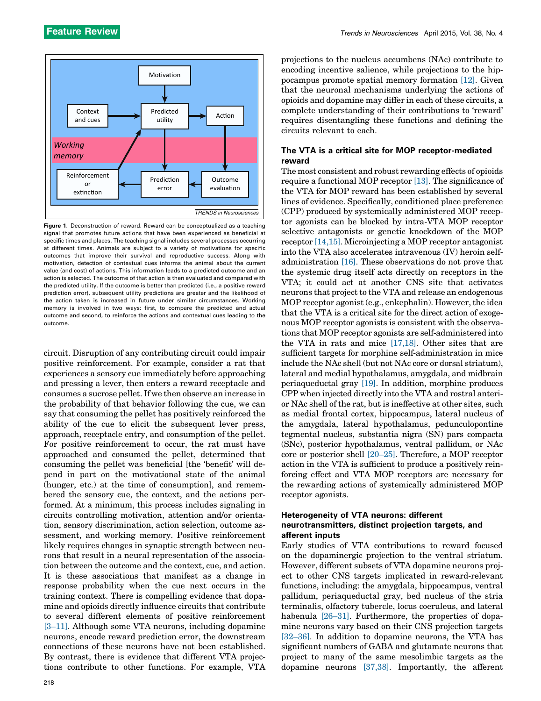<span id="page-1-0"></span>

Figure 1. Deconstruction of reward. Reward can be conceptualized as a teaching signal that promotes future actions that have been experienced as beneficial at specific times and places. The teaching signal includes several processes occurring at different times. Animals are subject to a variety of motivations for specific outcomes that improve their survival and reproductive success. Along with motivation, detection of contextual cues informs the animal about the current value (and cost) of actions. This information leads to a predicted outcome and an action is selected. The outcome of that action is then evaluated and compared with the predicted utility. If the outcome is better than predicted (i.e., a positive reward prediction error), subsequent utility predictions are greater and the likelihood of the action taken is increased in future under similar circumstances. Working memory is involved in two ways: first, to compare the predicted and actual outcome and second, to reinforce the actions and contextual cues leading to the outcome.

circuit. Disruption of any contributing circuit could impair positive reinforcement. For example, consider a rat that experiences a sensory cue immediately before approaching and pressing a lever, then enters a reward receptacle and consumes a sucrose pellet. If we then observe an increase in the probability of that behavior following the cue, we can say that consuming the pellet has positively reinforced the ability of the cue to elicit the subsequent lever press, approach, receptacle entry, and consumption of the pellet. For positive reinforcement to occur, the rat must have approached and consumed the pellet, determined that consuming the pellet was beneficial [the 'benefit' will depend in part on the motivational state of the animal (hunger, etc.) at the time of consumption], and remembered the sensory cue, the context, and the actions performed. At a minimum, this process includes signaling in circuits controlling motivation, attention and/or orientation, sensory discrimination, action selection, outcome assessment, and working memory. Positive reinforcement likely requires changes in synaptic strength between neurons that result in a neural representation of the association between the outcome and the context, cue, and action. It is these associations that manifest as a change in response probability when the cue next occurs in the training context. There is compelling evidence that dopamine and opioids directly influence circuits that contribute to several different elements of positive reinforcement [\[3–11\].](#page-6-0) Although some VTA neurons, including dopamine neurons, encode reward prediction error, the downstream connections of these neurons have not been established. By contrast, there is evidence that different VTA projections contribute to other functions. For example, VTA projections to the nucleus accumbens (NAc) contribute to encoding incentive salience, while projections to the hippocampus promote spatial memory formation [\[12\]](#page-6-0). Given that the neuronal mechanisms underlying the actions of opioids and dopamine may differ in each of these circuits, a complete understanding of their contributions to 'reward' requires disentangling these functions and defining the circuits relevant to each.

#### The VTA is a critical site for MOP receptor-mediated reward

The most consistent and robust rewarding effects of opioids require a functional MOP receptor [\[13\]](#page-6-0). The significance of the VTA for MOP reward has been established by several lines of evidence. Specifically, conditioned place preference (CPP) produced by systemically administered MOP receptor agonists can be blocked by intra-VTA MOP receptor selective antagonists or genetic knockdown of the MOP receptor [\[14,15\].](#page-6-0) Microinjecting a MOP receptor antagonist into the VTA also accelerates intravenous (IV) heroin selfadministration [\[16\]](#page-6-0). These observations do not prove that the systemic drug itself acts directly on receptors in the VTA; it could act at another CNS site that activates neurons that project to the VTA and release an endogenous MOP receptor agonist (e.g., enkephalin). However, the idea that the VTA is a critical site for the direct action of exogenous MOP receptor agonists is consistent with the observations that MOP receptor agonists are self-administered into the VTA in rats and mice [\[17,18\]](#page-6-0). Other sites that are sufficient targets for morphine self-administration in mice include the NAc shell (but not NAc core or dorsal striatum), lateral and medial hypothalamus, amygdala, and midbrain periaqueductal gray [\[19\].](#page-6-0) In addition, morphine produces CPP when injected directly into the VTA and rostral anterior NAc shell of the rat, but is ineffective at other sites, such as medial frontal cortex, hippocampus, lateral nucleus of the amygdala, lateral hypothalamus, pedunculopontine tegmental nucleus, substantia nigra (SN) pars compacta (SNc), posterior hypothalamus, ventral pallidum, or NAc core or posterior shell [\[20–25\].](#page-6-0) Therefore, a MOP receptor action in the VTA is sufficient to produce a positively reinforcing effect and VTA MOP receptors are necessary for the rewarding actions of systemically administered MOP receptor agonists.

#### Heterogeneity of VTA neurons: different neurotransmitters, distinct projection targets, and afferent inputs

Early studies of VTA contributions to reward focused on the dopaminergic projection to the ventral striatum. However, different subsets of VTA dopamine neurons project to other CNS targets implicated in reward-relevant functions, including: the amygdala, hippocampus, ventral pallidum, periaqueductal gray, bed nucleus of the stria terminalis, olfactory tubercle, locus coeruleus, and lateral habenula [\[26–31\].](#page-6-0) Furthermore, the properties of dopamine neurons vary based on their CNS projection targets [\[32–36\].](#page-6-0) In addition to dopamine neurons, the VTA has significant numbers of GABA and glutamate neurons that project to many of the same mesolimbic targets as the dopamine neurons [\[37,38\].](#page-6-0) Importantly, the afferent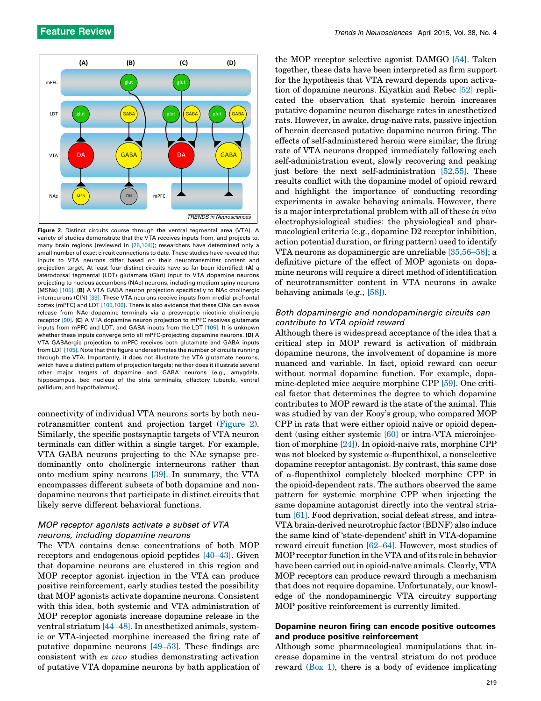<span id="page-2-0"></span>

Figure 2. Distinct circuits course through the ventral tegmental area (VTA). A variety of studies demonstrate that the VTA receives inputs from, and projects to, many brain regions (reviewed in [\[26,104\]\)](#page-6-0); researchers have determined only a small number of exact circuit connections to date. These studies have revealed that inputs to VTA neurons differ based on their neurotransmitter content and projection target. At least four distinct circuits have so far been identified: (A) a laterodorsal tegmental (LDT) glutamate (Glut) input to VTA dopamine neurons projecting to nucleus accumbens (NAc) neurons, including medium spiny neurons (MSNs) [\[105\].](#page-8-0) (B) A VTA GABA neuron projection specifically to NAc cholinergic interneurons (CIN) [\[39\].](#page-6-0) These VTA neurons receive inputs from medial prefrontal cortex (mPFC) and LDT [\[105,106\]](#page-8-0). There is also evidence that these CINs can evoke release from NAc dopamine terminals via a presynaptic nicotinic cholinergic receptor [\[90\]](#page-7-0). (C) A VTA dopamine neuron projection to mPFC receives glutamate inputs from mPFC and LDT, and GABA inputs from the LDT [\[105\]](#page-8-0). It is unknown whether these inputs converge onto all mPFC-projecting dopamine neurons. (D) A VTA GABAergic projection to mPFC receives both glutamate and GABA inputs from LDT [\[105\]](#page-8-0). Note that this figure underestimates the number of circuits running through the VTA. Importantly, it does not illustrate the VTA glutamate neurons, which have a distinct pattern of projection targets; neither does it illustrate several other major targets of dopamine and GABA neurons (e.g., amygdala, hippocampus, bed nucleus of the stria terminalis, olfactory tubercle, ventral pallidum, and hypothalamus).

connectivity of individual VTA neurons sorts by both neurotransmitter content and projection target (Figure 2). Similarly, the specific postsynaptic targets of VTA neuron terminals can differ within a single target. For example, VTA GABA neurons projecting to the NAc synapse predominantly onto cholinergic interneurons rather than onto medium spiny neurons [\[39\].](#page-6-0) In summary, the VTA encompasses different subsets of both dopamine and nondopamine neurons that participate in distinct circuits that likely serve different behavioral functions.

## MOP receptor agonists activate a subset of VTA neurons, including dopamine neurons

The VTA contains dense concentrations of both MOP receptors and endogenous opioid peptides [\[40–43\].](#page-6-0) Given that dopamine neurons are clustered in this region and MOP receptor agonist injection in the VTA can produce positive reinforcement, early studies tested the possibility that MOP agonists activate dopamine neurons. Consistent with this idea, both systemic and VTA administration of MOP receptor agonists increase dopamine release in the ventral striatum [\[44–48\].](#page-6-0) In anesthetized animals, systemic or VTA-injected morphine increased the firing rate of putative dopamine neurons [\[49–53\].](#page-7-0) These findings are consistent with ex vivo studies demonstrating activation of putative VTA dopamine neurons by bath application of

the MOP receptor selective agonist DAMGO [\[54\].](#page-7-0) Taken together, these data have been interpreted as firm support for the hypothesis that VTA reward depends upon activation of dopamine neurons. Kiyatkin and Rebec [\[52\]](#page-7-0) replicated the observation that systemic heroin increases putative dopamine neuron discharge rates in anesthetized rats. However, in awake, drug-naïve rats, passive injection of heroin decreased putative dopamine neuron firing. The effects of self-administered heroin were similar; the firing rate of VTA neurons dropped immediately following each self-administration event, slowly recovering and peaking just before the next self-administration [\[52,55\].](#page-7-0) These results conflict with the dopamine model of opioid reward and highlight the importance of conducting recording experiments in awake behaving animals. However, there is a major interpretational problem with all of these in vivo electrophysiological studies: the physiological and pharmacological criteria (e.g., dopamine D2 receptor inhibition, action potential duration, or firing pattern) used to identify VTA neurons as dopaminergic are unreliable [\[35,56–58\]](#page-6-0); a definitive picture of the effect of MOP agonists on dopamine neurons will require a direct method of identification of neurotransmitter content in VTA neurons in awake behaving animals (e.g., [\[58\]](#page-7-0)).

#### Both dopaminergic and nondopaminergic circuits can contribute to VTA opioid reward

Although there is widespread acceptance of the idea that a critical step in MOP reward is activation of midbrain dopamine neurons, the involvement of dopamine is more nuanced and variable. In fact, opioid reward can occur without normal dopamine function. For example, dopamine-depleted mice acquire morphine CPP [\[59\]](#page-7-0). One critical factor that determines the degree to which dopamine contributes to MOP reward is the state of the animal. This was studied by van der Kooy's group, who compared MOP CPP in rats that were either opioid naïve or opioid dependent (using either systemic [\[60\]](#page-7-0) or intra-VTA microinjection of morphine  $[24]$ ). In opioid-naïve rats, morphine CPP was not blocked by systemic  $\alpha$ -flupenthixol, a nonselective dopamine receptor antagonist. By contrast, this same dose of  $\alpha$ -flupenthixol completely blocked morphine CPP in the opioid-dependent rats. The authors observed the same pattern for systemic morphine CPP when injecting the same dopamine antagonist directly into the ventral striatum [\[61\]](#page-7-0). Food deprivation, social defeat stress, and intra-VTA brain-derived neurotrophic factor (BDNF) also induce the same kind of 'state-dependent' shift in VTA-dopamine reward circuit function [\[62–64\]](#page-7-0). However, most studies of MOP receptor function in the VTA and of its role in behavior have been carried out in opioid-naïve animals. Clearly, VTA MOP receptors can produce reward through a mechanism that does not require dopamine. Unfortunately, our knowledge of the nondopaminergic VTA circuitry supporting MOP positive reinforcement is currently limited.

#### Dopamine neuron firing can encode positive outcomes and produce positive reinforcement

Although some pharmacological manipulations that increase dopamine in the ventral striatum do not produce reward ([Box](#page-3-0) 1), there is a body of evidence implicating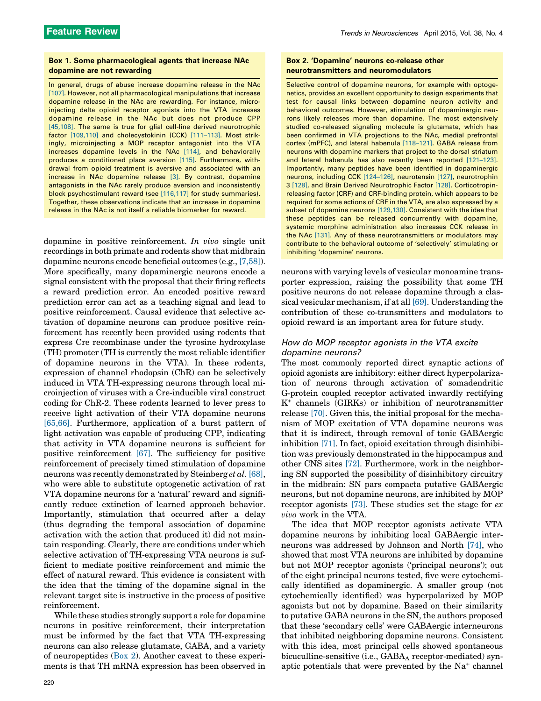#### <span id="page-3-0"></span>Box 1. Some pharmacological agents that increase NAc dopamine are not rewarding

In general, drugs of abuse increase dopamine release in the NAc [\[107\].](#page-8-0) However, not all pharmacological manipulations that increase dopamine release in the NAc are rewarding. For instance, microinjecting delta opioid receptor agonists into the VTA increases dopamine release in the NAc but does not produce CPP [\[45,108\].](#page-6-0) The same is true for glial cell-line derived neurotrophic factor [\[109,110\]](#page-8-0) and cholecystokinin (CCK) [\[111–113\]](#page-8-0). Most strikingly, microinjecting a MOP receptor antagonist into the VTA increases dopamine levels in the NAc [\[114\],](#page-8-0) and behaviorally produces a conditioned place aversion [\[115\].](#page-8-0) Furthermore, withdrawal from opioid treatment is aversive and associated with an increase in NAc dopamine release [\[3\].](#page-6-0) By contrast, dopamine antagonists in the NAc rarely produce aversion and inconsistently block psychostimulant reward (see [\[116,117\]](#page-8-0) for study summaries). Together, these observations indicate that an increase in dopamine release in the NAc is not itself a reliable biomarker for reward.

dopamine in positive reinforcement. In vivo single unit recordings in both primate and rodents show that midbrain dopamine neurons encode beneficial outcomes (e.g., [\[7,58\]](#page-6-0)). More specifically, many dopaminergic neurons encode a signal consistent with the proposal that their firing reflects a reward prediction error. An encoded positive reward prediction error can act as a teaching signal and lead to positive reinforcement. Causal evidence that selective activation of dopamine neurons can produce positive reinforcement has recently been provided using rodents that express Cre recombinase under the tyrosine hydroxylase (TH) promoter (TH is currently the most reliable identifier of dopamine neurons in the VTA). In these rodents, expression of channel rhodopsin (ChR) can be selectively induced in VTA TH-expressing neurons through local microinjection of viruses with a Cre-inducible viral construct coding for ChR-2. These rodents learned to lever press to receive light activation of their VTA dopamine neurons [\[65,66\]](#page-7-0). Furthermore, application of a burst pattern of light activation was capable of producing CPP, indicating that activity in VTA dopamine neurons is sufficient for positive reinforcement [\[67\].](#page-7-0) The sufficiency for positive reinforcement of precisely timed stimulation of dopamine neurons was recently demonstrated by Steinberg et al. [\[68\]](#page-7-0), who were able to substitute optogenetic activation of rat VTA dopamine neurons for a 'natural' reward and significantly reduce extinction of learned approach behavior. Importantly, stimulation that occurred after a delay (thus degrading the temporal association of dopamine activation with the action that produced it) did not maintain responding. Clearly, there are conditions under which selective activation of TH-expressing VTA neurons is sufficient to mediate positive reinforcement and mimic the effect of natural reward. This evidence is consistent with the idea that the timing of the dopamine signal in the relevant target site is instructive in the process of positive reinforcement.

While these studies strongly support a role for dopamine neurons in positive reinforcement, their interpretation must be informed by the fact that VTA TH-expressing neurons can also release glutamate, GABA, and a variety of neuropeptides (Box 2). Another caveat to these experiments is that TH mRNA expression has been observed in

Selective control of dopamine neurons, for example with optogenetics, provides an excellent opportunity to design experiments that test for causal links between dopamine neuron activity and behavioral outcomes. However, stimulation of dopaminergic neurons likely releases more than dopamine. The most extensively studied co-released signaling molecule is glutamate, which has been confirmed in VTA projections to the NAc, medial prefrontal cortex (mPFC), and lateral habenula [\[118–121\].](#page-8-0) GABA release from neurons with dopamine markers that project to the dorsal striatum and lateral habenula has also recently been reported [\[121–123\].](#page-8-0) Importantly, many peptides have been identified in dopaminergic neurons, including CCK [\[124–126\]](#page-8-0), neurotensin [\[127\],](#page-8-0) neurotrophin 3 [\[128\]](#page-8-0), and Brain Derived Neurotrophic Factor [\[128\]](#page-8-0). Corticotropinreleasing factor (CRF) and CRF-binding protein, which appears to be required for some actions of CRF in the VTA, are also expressed by a subset of dopamine neurons [\[129,130\]](#page-8-0). Consistent with the idea that these peptides can be released concurrently with dopamine, systemic morphine administration also increases CCK release in the NAc [\[131\].](#page-8-0) Any of these neurotransmitters or modulators may contribute to the behavioral outcome of 'selectively' stimulating or inhibiting 'dopamine' neurons.

neurons with varying levels of vesicular monoamine transporter expression, raising the possibility that some TH positive neurons do not release dopamine through a classical vesicular mechanism, if at all [\[69\]](#page-7-0). Understanding the contribution of these co-transmitters and modulators to opioid reward is an important area for future study.

#### How do MOP receptor agonists in the VTA excite dopamine neurons?

The most commonly reported direct synaptic actions of opioid agonists are inhibitory: either direct hyperpolarization of neurons through activation of somadendritic G-protein coupled receptor activated inwardly rectifying  $K^+$  channels (GIRKs) or inhibition of neurotransmitter release [\[70\]](#page-7-0). Given this, the initial proposal for the mechanism of MOP excitation of VTA dopamine neurons was that it is indirect, through removal of tonic GABAergic inhibition [\[71\]](#page-7-0). In fact, opioid excitation through disinhibition was previously demonstrated in the hippocampus and other CNS sites [\[72\].](#page-7-0) Furthermore, work in the neighboring SN supported the possibility of disinhibitory circuitry in the midbrain: SN pars compacta putative GABAergic neurons, but not dopamine neurons, are inhibited by MOP receptor agonists [\[73\]](#page-7-0). These studies set the stage for  $ex$ vivo work in the VTA.

The idea that MOP receptor agonists activate VTA dopamine neurons by inhibiting local GABAergic interneurons was addressed by Johnson and North [\[74\],](#page-7-0) who showed that most VTA neurons are inhibited by dopamine but not MOP receptor agonists ('principal neurons'); out of the eight principal neurons tested, five were cytochemically identified as dopaminergic. A smaller group (not cytochemically identified) was hyperpolarized by MOP agonists but not by dopamine. Based on their similarity to putative GABA neurons in the SN, the authors proposed that these 'secondary cells' were GABAergic interneurons that inhibited neighboring dopamine neurons. Consistent with this idea, most principal cells showed spontaneous bicuculline-sensitive (i.e.,  $GABA<sub>A</sub>$  receptor-mediated) synaptic potentials that were prevented by the Na<sup>+</sup> channel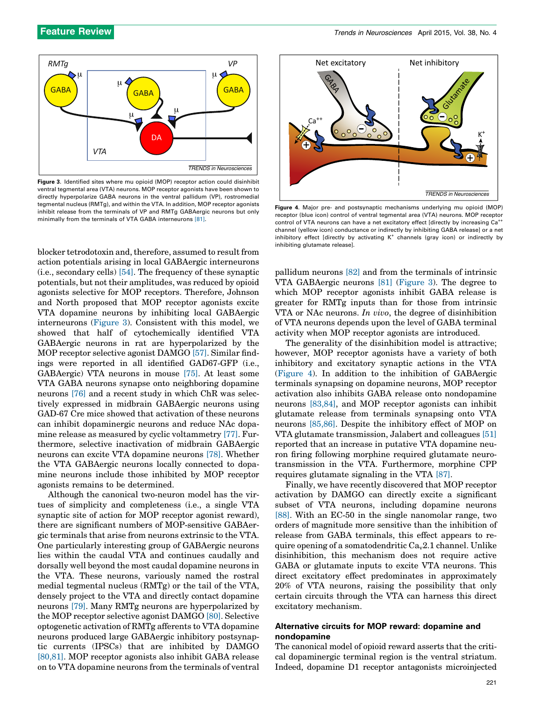



Figure 3. Identified sites where mu opioid (MOP) receptor action could disinhibit ventral tegmental area (VTA) neurons. MOP receptor agonists have been shown to directly hyperpolarize GABA neurons in the ventral pallidum (VP), rostromedial tegmental nucleus (RMTg), and within the VTA. In addition, MOP receptor agonists inhibit release from the terminals of VP and RMTg GABAergic neurons but only minimally from the terminals of VTA GABA interneurons [\[81\].](#page-7-0)

blocker tetrodotoxin and, therefore, assumed to result from action potentials arising in local GABAergic interneurons (i.e., secondary cells) [\[54\]](#page-7-0). The frequency of these synaptic potentials, but not their amplitudes, was reduced by opioid agonists selective for MOP receptors. Therefore, Johnson and North proposed that MOP receptor agonists excite VTA dopamine neurons by inhibiting local GABAergic interneurons (Figure 3). Consistent with this model, we showed that half of cytochemically identified VTA GABAergic neurons in rat are hyperpolarized by the MOP receptor selective agonist DAMGO [\[57\]](#page-7-0). Similar findings were reported in all identified GAD67-GFP (i.e., GABAergic) VTA neurons in mouse [\[75\]](#page-7-0). At least some VTA GABA neurons synapse onto neighboring dopamine neurons [\[76\]](#page-7-0) and a recent study in which ChR was selectively expressed in midbrain GABAergic neurons using GAD-67 Cre mice showed that activation of these neurons can inhibit dopaminergic neurons and reduce NAc dopamine release as measured by cyclic voltammetry [\[77\].](#page-7-0) Furthermore, selective inactivation of midbrain GABAergic neurons can excite VTA dopamine neurons [\[78\]](#page-7-0). Whether the VTA GABAergic neurons locally connected to dopamine neurons include those inhibited by MOP receptor agonists remains to be determined.

Although the canonical two-neuron model has the virtues of simplicity and completeness (i.e., a single VTA synaptic site of action for MOP receptor agonist reward), there are significant numbers of MOP-sensitive GABAergic terminals that arise from neurons extrinsic to the VTA. One particularly interesting group of GABAergic neurons lies within the caudal VTA and continues caudally and dorsally well beyond the most caudal dopamine neurons in the VTA. These neurons, variously named the rostral medial tegmental nucleus (RMTg) or the tail of the VTA, densely project to the VTA and directly contact dopamine neurons [\[79\]](#page-7-0). Many RMTg neurons are hyperpolarized by the MOP receptor selective agonist DAMGO [\[80\]](#page-7-0). Selective optogenetic activation of RMTg afferents to VTA dopamine neurons produced large GABAergic inhibitory postsynaptic currents (IPSCs) that are inhibited by DAMGO [\[80,81\]](#page-7-0). MOP receptor agonists also inhibit GABA release on to VTA dopamine neurons from the terminals of ventral



Figure 4. Major pre- and postsynaptic mechanisms underlying mu opioid (MOP) receptor (blue icon) control of ventral tegmental area (VTA) neurons. MOP receptor control of VTA neurons can have a net excitatory effect [directly by increasing Ca<sup>++</sup> channel (yellow icon) conductance or indirectly by inhibiting GABA release] or a net inhibitory effect [directly by activating K<sup>+</sup> channels (gray icon) or indirectly by inhibiting glutamate release].

pallidum neurons [\[82\]](#page-7-0) and from the terminals of intrinsic VTA GABAergic neurons [\[81\]](#page-7-0) (Figure 3). The degree to which MOP receptor agonists inhibit GABA release is greater for RMTg inputs than for those from intrinsic VTA or NAc neurons. In vivo, the degree of disinhibition of VTA neurons depends upon the level of GABA terminal activity when MOP receptor agonists are introduced.

The generality of the disinhibition model is attractive; however, MOP receptor agonists have a variety of both inhibitory and excitatory synaptic actions in the VTA (Figure 4). In addition to the inhibition of GABAergic terminals synapsing on dopamine neurons, MOP receptor activation also inhibits GABA release onto nondopamine neurons [\[83,84\]](#page-7-0), and MOP receptor agonists can inhibit glutamate release from terminals synapsing onto VTA neurons [\[85,86\].](#page-7-0) Despite the inhibitory effect of MOP on VTA glutamate transmission, Jalabert and colleagues [\[51\]](#page-7-0) reported that an increase in putative VTA dopamine neuron firing following morphine required glutamate neurotransmission in the VTA. Furthermore, morphine CPP requires glutamate signaling in the VTA [\[87\]](#page-7-0).

Finally, we have recently discovered that MOP receptor activation by DAMGO can directly excite a significant subset of VTA neurons, including dopamine neurons [\[88\]](#page-7-0). With an EC-50 in the single nanomolar range, two orders of magnitude more sensitive than the inhibition of release from GABA terminals, this effect appears to require opening of a somatodendritic  $Ca<sub>v</sub>2.1$  channel. Unlike disinhibition, this mechanism does not require active GABA or glutamate inputs to excite VTA neurons. This direct excitatory effect predominates in approximately 20% of VTA neurons, raising the possibility that only certain circuits through the VTA can harness this direct excitatory mechanism.

### Alternative circuits for MOP reward: dopamine and nondopamine

The canonical model of opioid reward asserts that the critical dopaminergic terminal region is the ventral striatum. Indeed, dopamine D1 receptor antagonists microinjected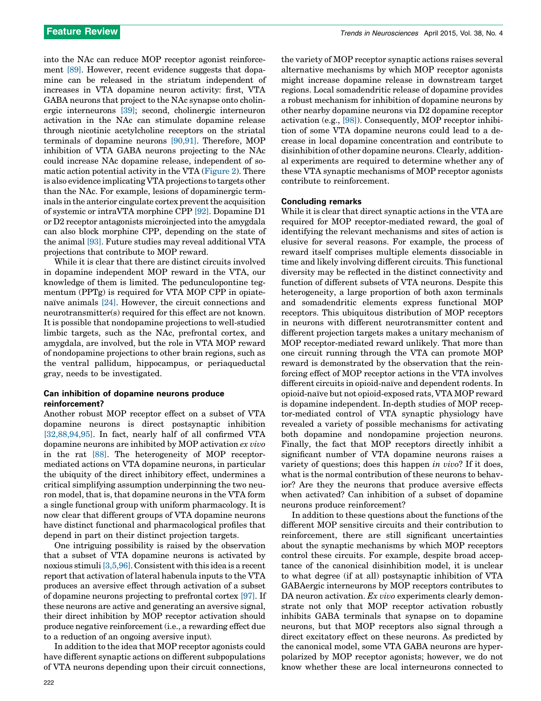into the NAc can reduce MOP receptor agonist reinforcement [\[89\]](#page-7-0). However, recent evidence suggests that dopamine can be released in the striatum independent of increases in VTA dopamine neuron activity: first, VTA GABA neurons that project to the NAc synapse onto cholinergic interneurons [\[39\];](#page-6-0) second, cholinergic interneuron activation in the NAc can stimulate dopamine release through nicotinic acetylcholine receptors on the striatal terminals of dopamine neurons [\[90,91\].](#page-7-0) Therefore, MOP inhibition of VTA GABA neurons projecting to the NAc could increase NAc dopamine release, independent of somatic action potential activity in the VTA ([Figure](#page-2-0) 2). There is also evidence implicating VTA projections to targets other than the NAc. For example, lesions of dopaminergic terminals in the anterior cingulate cortex prevent the acquisition of systemic or intraVTA morphine CPP [\[92\].](#page-7-0) Dopamine D1 or D2 receptor antagonists microinjected into the amygdala can also block morphine CPP, depending on the state of the animal [\[93\].](#page-7-0) Future studies may reveal additional VTA projections that contribute to MOP reward.

While it is clear that there are distinct circuits involved in dopamine independent MOP reward in the VTA, our knowledge of them is limited. The pedunculopontine tegmentum (PPTg) is required for VTA MOP CPP in opiatenaïve animals  $[24]$ . However, the circuit connections and neurotransmitter(s) required for this effect are not known. It is possible that nondopamine projections to well-studied limbic targets, such as the NAc, prefrontal cortex, and amygdala, are involved, but the role in VTA MOP reward of nondopamine projections to other brain regions, such as the ventral pallidum, hippocampus, or periaqueductal gray, needs to be investigated.

#### Can inhibition of dopamine neurons produce reinforcement?

Another robust MOP receptor effect on a subset of VTA dopamine neurons is direct postsynaptic inhibition [\[32,88,94,95\]](#page-6-0). In fact, nearly half of all confirmed VTA dopamine neurons are inhibited by MOP activation ex vivo in the rat [\[88\]](#page-7-0). The heterogeneity of MOP receptormediated actions on VTA dopamine neurons, in particular the ubiquity of the direct inhibitory effect, undermines a critical simplifying assumption underpinning the two neuron model, that is, that dopamine neurons in the VTA form a single functional group with uniform pharmacology. It is now clear that different groups of VTA dopamine neurons have distinct functional and pharmacological profiles that depend in part on their distinct projection targets.

One intriguing possibility is raised by the observation that a subset of VTA dopamine neurons is activated by noxious stimuli[\[3,5,96\].](#page-6-0) Consistent with this idea is a recent report that activation of lateral habenula inputs to the VTA produces an aversive effect through activation of a subset of dopamine neurons projecting to prefrontal cortex [\[97\].](#page-8-0) If these neurons are active and generating an aversive signal, their direct inhibition by MOP receptor activation should produce negative reinforcement (i.e., a rewarding effect due to a reduction of an ongoing aversive input).

In addition to the idea that MOP receptor agonists could have different synaptic actions on different subpopulations of VTA neurons depending upon their circuit connections, the variety of MOP receptor synaptic actions raises several alternative mechanisms by which MOP receptor agonists might increase dopamine release in downstream target regions. Local somadendritic release of dopamine provides a robust mechanism for inhibition of dopamine neurons by other nearby dopamine neurons via D2 dopamine receptor activation (e.g., [\[98\]](#page-8-0)). Consequently, MOP receptor inhibition of some VTA dopamine neurons could lead to a decrease in local dopamine concentration and contribute to disinhibition of other dopamine neurons. Clearly, additional experiments are required to determine whether any of these VTA synaptic mechanisms of MOP receptor agonists contribute to reinforcement.

#### Concluding remarks

While it is clear that direct synaptic actions in the VTA are required for MOP receptor-mediated reward, the goal of identifying the relevant mechanisms and sites of action is elusive for several reasons. For example, the process of reward itself comprises multiple elements dissociable in time and likely involving different circuits. This functional diversity may be reflected in the distinct connectivity and function of different subsets of VTA neurons. Despite this heterogeneity, a large proportion of both axon terminals and somadendritic elements express functional MOP receptors. This ubiquitous distribution of MOP receptors in neurons with different neurotransmitter content and different projection targets makes a unitary mechanism of MOP receptor-mediated reward unlikely. That more than one circuit running through the VTA can promote MOP reward is demonstrated by the observation that the reinforcing effect of MOP receptor actions in the VTA involves different circuits in opioid-naïve and dependent rodents. In opioid-naı¨ve but not opioid-exposed rats, VTA MOP reward is dopamine independent. In-depth studies of MOP receptor-mediated control of VTA synaptic physiology have revealed a variety of possible mechanisms for activating both dopamine and nondopamine projection neurons. Finally, the fact that MOP receptors directly inhibit a significant number of VTA dopamine neurons raises a variety of questions; does this happen in vivo? If it does, what is the normal contribution of these neurons to behavior? Are they the neurons that produce aversive effects when activated? Can inhibition of a subset of dopamine neurons produce reinforcement?

In addition to these questions about the functions of the different MOP sensitive circuits and their contribution to reinforcement, there are still significant uncertainties about the synaptic mechanisms by which MOP receptors control these circuits. For example, despite broad acceptance of the canonical disinhibition model, it is unclear to what degree (if at all) postsynaptic inhibition of VTA GABAergic interneurons by MOP receptors contributes to DA neuron activation. Ex vivo experiments clearly demonstrate not only that MOP receptor activation robustly inhibits GABA terminals that synapse on to dopamine neurons, but that MOP receptors also signal through a direct excitatory effect on these neurons. As predicted by the canonical model, some VTA GABA neurons are hyperpolarized by MOP receptor agonists; however, we do not know whether these are local interneurons connected to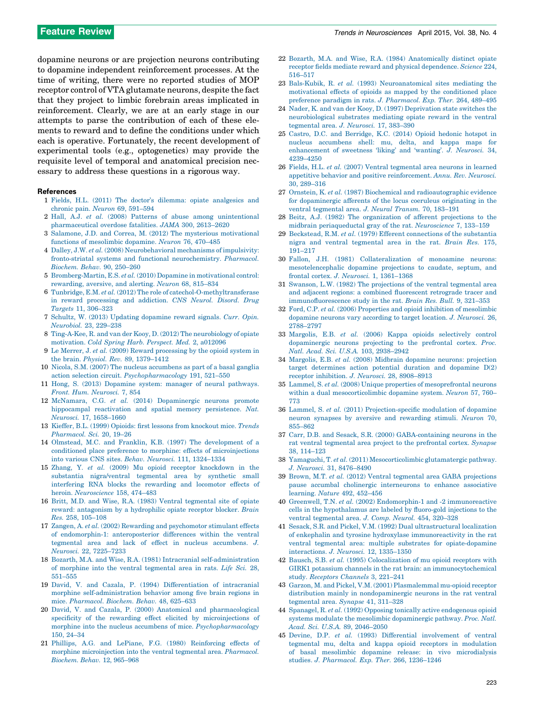<span id="page-6-0"></span>Feature Review Trends in Neurosciences April 2015, Vol. 38, No. 4

dopamine neurons or are projection neurons contributing to dopamine independent reinforcement processes. At the time of writing, there were no reported studies of MOP receptor control of VTA glutamate neurons, despite the fact that they project to limbic forebrain areas implicated in reinforcement. Clearly, we are at an early stage in our attempts to parse the contribution of each of these elements to reward and to define the conditions under which each is operative. Fortunately, the recent development of experimental tools (e.g., optogenetics) may provide the requisite level of temporal and anatomical precision necessary to address these questions in a rigorous way.

#### References

- 1 Fields, H.L. (2011) The doctor's dilemma: opiate [analgesics](http://refhub.elsevier.com/S0166-2236(15)00003-X/sbref0660) and chronic pain. Neuron 69, [591–594](http://refhub.elsevier.com/S0166-2236(15)00003-X/sbref0660)
- 2 Hall, A.J. et al. (2008) Patterns of abuse among [unintentional](http://refhub.elsevier.com/S0166-2236(15)00003-X/sbref0665) [pharmaceutical](http://refhub.elsevier.com/S0166-2236(15)00003-X/sbref0665) overdose fatalities. JAMA 300, 2613–2620
- 3 Salamone, J.D. and Correa, M. (2012) The mysterious [motivational](http://refhub.elsevier.com/S0166-2236(15)00003-X/sbref0670) functions of [mesolimbic](http://refhub.elsevier.com/S0166-2236(15)00003-X/sbref0670) dopamine. Neuron 76, 470–485
- 4 Dalley, J.W. et al. (2008) [Neurobehavioral](http://refhub.elsevier.com/S0166-2236(15)00003-X/sbref0675) mechanisms of impulsivity: fronto-striatal systems and functional [neurochemistry.](http://refhub.elsevier.com/S0166-2236(15)00003-X/sbref0675) Pharmacol. [Biochem.](http://refhub.elsevier.com/S0166-2236(15)00003-X/sbref0675) Behav. 90, 250–260
- 5 [Bromberg-Martin,](http://refhub.elsevier.com/S0166-2236(15)00003-X/sbref0680) E.S. et al. (2010) Dopamine in motivational control: [rewarding,](http://refhub.elsevier.com/S0166-2236(15)00003-X/sbref0680) aversive, and alerting. Neuron 68, 815–834
- 6 Tunbridge, E.M. et al. (2012) The role of [catechol-O-methyltransferase](http://refhub.elsevier.com/S0166-2236(15)00003-X/sbref0685) in reward [processing](http://refhub.elsevier.com/S0166-2236(15)00003-X/sbref0685) and addiction. CNS Neurol. Disord. Drug Targets 11, [306–323](http://refhub.elsevier.com/S0166-2236(15)00003-X/sbref0685)
- 7 Schultz, W. (2013) Updating [dopamine](http://refhub.elsevier.com/S0166-2236(15)00003-X/sbref0690) reward signals. Curr. Opin. [Neurobiol.](http://refhub.elsevier.com/S0166-2236(15)00003-X/sbref0690) 23, 229–238
- 8 Ting-A-Kee, R. and van der Kooy, D. (2012) The [neurobiology](http://refhub.elsevier.com/S0166-2236(15)00003-X/sbref0695) of opiate [motivation.](http://refhub.elsevier.com/S0166-2236(15)00003-X/sbref0695) Cold Spring Harb. Perspect. Med. 2, a012096
- 9 Le Merrer, J. et al. (2009) Reward [processing](http://refhub.elsevier.com/S0166-2236(15)00003-X/sbref0700) by the opioid system in the brain. Physiol. Rev. 89, [1379–1412](http://refhub.elsevier.com/S0166-2236(15)00003-X/sbref0700)
- 10 Nicola, S.M. (2007) The nucleus [accumbens](http://refhub.elsevier.com/S0166-2236(15)00003-X/sbref0705) as part of a basal ganglia action selection circuit. [Psychopharmacology](http://refhub.elsevier.com/S0166-2236(15)00003-X/sbref0705) 191, 521–550
- 11 Hong, S. (2013) [Dopamine](http://refhub.elsevier.com/S0166-2236(15)00003-X/sbref0710) system: manager of neural pathways. Front. Hum. [Neurosci.](http://refhub.elsevier.com/S0166-2236(15)00003-X/sbref0710) 7, 854
- 12 McNamara, C.G. et al. (2014) [Dopaminergic](http://refhub.elsevier.com/S0166-2236(15)00003-X/sbref0715) neurons promote [hippocampal](http://refhub.elsevier.com/S0166-2236(15)00003-X/sbref0715) reactivation and spatial memory persistence. Nat. Neurosci. 17, [1658–1660](http://refhub.elsevier.com/S0166-2236(15)00003-X/sbref0715)
- 13 Kieffer, B.L. (1999) Opioids: first lessons from [knockout](http://refhub.elsevier.com/S0166-2236(15)00003-X/sbref0720) mice. Trends [Pharmacol.](http://refhub.elsevier.com/S0166-2236(15)00003-X/sbref0720) Sci. 20, 19–26
- 14 Olmstead, M.C. and Franklin, K.B. (1997) The [development](http://refhub.elsevier.com/S0166-2236(15)00003-X/sbref0725) of a conditioned place preference to morphine: effects of [microinjections](http://refhub.elsevier.com/S0166-2236(15)00003-X/sbref0725) into various CNS sites. Behav. Neurosci. 111, [1324–1334](http://refhub.elsevier.com/S0166-2236(15)00003-X/sbref0725)
- 15 Zhang, Y. et al. (2009) Mu opioid receptor [knockdown](http://refhub.elsevier.com/S0166-2236(15)00003-X/sbref0730) in the substantia [nigra/ventral](http://refhub.elsevier.com/S0166-2236(15)00003-X/sbref0730) tegmental area by synthetic small [interfering](http://refhub.elsevier.com/S0166-2236(15)00003-X/sbref0730) RNA blocks the rewarding and locomotor effects of heroin. [Neuroscience](http://refhub.elsevier.com/S0166-2236(15)00003-X/sbref0730) 158, 474–483
- 16 Britt, M.D. and Wise, R.A. (1983) Ventral [tegmental](http://refhub.elsevier.com/S0166-2236(15)00003-X/sbref0735) site of opiate reward: [antagonism](http://refhub.elsevier.com/S0166-2236(15)00003-X/sbref0735) by a hydrophilic opiate receptor blocker. Brain Res. 258, [105–108](http://refhub.elsevier.com/S0166-2236(15)00003-X/sbref0735)
- 17 Zangen, A. et al. (2002) Rewarding and [psychomotor](http://refhub.elsevier.com/S0166-2236(15)00003-X/sbref0740) stimulant effects of [endomorphin-1:](http://refhub.elsevier.com/S0166-2236(15)00003-X/sbref0740) anteroposterior differences within the ventral tegmental area and lack of effect in nucleus [accumbens.](http://refhub.elsevier.com/S0166-2236(15)00003-X/sbref0740) J. Neurosci. 22, [7225–7233](http://refhub.elsevier.com/S0166-2236(15)00003-X/sbref0740)
- 18 Bozarth, M.A. and Wise, R.A. (1981) Intracranial [self-administration](http://refhub.elsevier.com/S0166-2236(15)00003-X/sbref0745) of morphine into the ventral [tegmental](http://refhub.elsevier.com/S0166-2236(15)00003-X/sbref0745) area in rats. Life Sci. 28, [551–555](http://refhub.elsevier.com/S0166-2236(15)00003-X/sbref0745)
- 19 David, V. and Cazala, P. (1994) [Differentiation](http://refhub.elsevier.com/S0166-2236(15)00003-X/sbref0750) of intracranial morphine [self-administration](http://refhub.elsevier.com/S0166-2236(15)00003-X/sbref0750) behavior among five brain regions in mice. [Pharmacol.](http://refhub.elsevier.com/S0166-2236(15)00003-X/sbref0750) Biochem. Behav. 48, 625–633
- 20 David, V. and Cazala, P. (2000) Anatomical and [pharmacological](http://refhub.elsevier.com/S0166-2236(15)00003-X/sbref0755) specificity of the rewarding effect elicited by [microinjections](http://refhub.elsevier.com/S0166-2236(15)00003-X/sbref0755) of morphine into the nucleus accumbens of mice. [Psychopharmacology](http://refhub.elsevier.com/S0166-2236(15)00003-X/sbref0755) 150, [24–34](http://refhub.elsevier.com/S0166-2236(15)00003-X/sbref0755)
- 21 Phillips, A.G. and LePiane, F.G. (1980) [Reinforcing](http://refhub.elsevier.com/S0166-2236(15)00003-X/sbref0760) effects of morphine [microinjection](http://refhub.elsevier.com/S0166-2236(15)00003-X/sbref0760) into the ventral tegmental area. Pharmacol. [Biochem.](http://refhub.elsevier.com/S0166-2236(15)00003-X/sbref0760) Behav. 12, 965–968
- 22 Bozarth, M.A. and Wise, R.A. (1984) [Anatomically](http://refhub.elsevier.com/S0166-2236(15)00003-X/sbref0765) distinct opiate receptor fields mediate reward and physical [dependence.](http://refhub.elsevier.com/S0166-2236(15)00003-X/sbref0765) Science 224, [516–517](http://refhub.elsevier.com/S0166-2236(15)00003-X/sbref0765)
- 23 Bals-Kubik, R. et al. (1993) [Neuroanatomical](http://refhub.elsevier.com/S0166-2236(15)00003-X/sbref0770) sites mediating the [motivational](http://refhub.elsevier.com/S0166-2236(15)00003-X/sbref0770) effects of opioids as mapped by the conditioned place preference paradigm in rats. J. [Pharmacol.](http://refhub.elsevier.com/S0166-2236(15)00003-X/sbref0770) Exp. Ther. 264, 489–495
- 24 Nader, K. and van der Kooy, D. (1997) [Deprivation](http://refhub.elsevier.com/S0166-2236(15)00003-X/sbref0775) state switches the [neurobiological](http://refhub.elsevier.com/S0166-2236(15)00003-X/sbref0775) substrates mediating opiate reward in the ventral [tegmental](http://refhub.elsevier.com/S0166-2236(15)00003-X/sbref0775) area. J. Neurosci. 17, 383–390
- 25 Castro, D.C. and [Berridge,](http://refhub.elsevier.com/S0166-2236(15)00003-X/sbref0780) K.C. (2014) Opioid hedonic hotspot in nucleus [accumbens](http://refhub.elsevier.com/S0166-2236(15)00003-X/sbref0780) shell: mu, delta, and kappa maps for [enhancement](http://refhub.elsevier.com/S0166-2236(15)00003-X/sbref0780) of sweetness 'liking' and 'wanting'. J. Neurosci. 34, [4239–4250](http://refhub.elsevier.com/S0166-2236(15)00003-X/sbref0780)
- 26 Fields, H.L. et al. (2007) Ventral [tegmental](http://refhub.elsevier.com/S0166-2236(15)00003-X/sbref0785) area neurons in learned appetitive behavior and positive [reinforcement.](http://refhub.elsevier.com/S0166-2236(15)00003-X/sbref0785) Annu. Rev. Neurosci. 30, [289–316](http://refhub.elsevier.com/S0166-2236(15)00003-X/sbref0785)
- 27 Ornstein, K. et al. (1987) Biochemical and [radioautographic](http://refhub.elsevier.com/S0166-2236(15)00003-X/sbref0790) evidence for [dopaminergic](http://refhub.elsevier.com/S0166-2236(15)00003-X/sbref0790) afferents of the locus coeruleus originating in the ventral [tegmental](http://refhub.elsevier.com/S0166-2236(15)00003-X/sbref0790) area. J. Neural Transm. 70, 183–191
- 28 Beitz, A.J. (1982) The [organization](http://refhub.elsevier.com/S0166-2236(15)00003-X/sbref0795) of afferent projections to the midbrain [periaqueductal](http://refhub.elsevier.com/S0166-2236(15)00003-X/sbref0795) gray of the rat. Neuroscience 7, 133–159
- 29 Beckstead, R.M. et al. (1979) Efferent [connections](http://refhub.elsevier.com/S0166-2236(15)00003-X/sbref0800) of the substantia nigra and ventral [tegmental](http://refhub.elsevier.com/S0166-2236(15)00003-X/sbref0800) area in the rat. Brain Res. 175, [191–217](http://refhub.elsevier.com/S0166-2236(15)00003-X/sbref0800)
- 30 Fallon, J.H. (1981) [Collateralization](http://refhub.elsevier.com/S0166-2236(15)00003-X/sbref0805) of monoamine neurons: [mesotelencephalic](http://refhub.elsevier.com/S0166-2236(15)00003-X/sbref0805) dopamine projections to caudate, septum, and frontal cortex. J. Neurosci. 1, [1361–1368](http://refhub.elsevier.com/S0166-2236(15)00003-X/sbref0805)
- 31 Swanson, L.W. (1982) The [projections](http://refhub.elsevier.com/S0166-2236(15)00003-X/sbref0810) of the ventral tegmental area and adjacent regions: a combined [fluorescent](http://refhub.elsevier.com/S0166-2236(15)00003-X/sbref0810) retrograde tracer and [immunofluorescence](http://refhub.elsevier.com/S0166-2236(15)00003-X/sbref0810) study in the rat. Brain Res. Bull. 9, 321–353
- 32 Ford, C.P. et al. (2006) Properties and opioid inhibition of [mesolimbic](http://refhub.elsevier.com/S0166-2236(15)00003-X/sbref0815) [dopamine](http://refhub.elsevier.com/S0166-2236(15)00003-X/sbref0815) neurons vary according to target location. J. Neurosci. 26, [2788–2797](http://refhub.elsevier.com/S0166-2236(15)00003-X/sbref0815)
- 33 Margolis, E.B. et al. (2006) Kappa opioids [selectively](http://refhub.elsevier.com/S0166-2236(15)00003-X/sbref0820) control [dopaminergic](http://refhub.elsevier.com/S0166-2236(15)00003-X/sbref0820) neurons projecting to the prefrontal cortex. Proc. Natl. Acad. Sci. U.S.A. 103, [2938–2942](http://refhub.elsevier.com/S0166-2236(15)00003-X/sbref0820)
- 34 Margolis, E.B. et al. (2008) Midbrain dopamine neurons: [projection](http://refhub.elsevier.com/S0166-2236(15)00003-X/sbref0825) target [determines](http://refhub.elsevier.com/S0166-2236(15)00003-X/sbref0825) action potential duration and dopamine D(2) receptor inhibition. J. Neurosci. 28, [8908–8913](http://refhub.elsevier.com/S0166-2236(15)00003-X/sbref0825)
- 35 Lammel, S. et al. (2008) Unique properties of [mesoprefrontal](http://refhub.elsevier.com/S0166-2236(15)00003-X/sbref0830) neurons within a dual [mesocorticolimbic](http://refhub.elsevier.com/S0166-2236(15)00003-X/sbref0830) dopamine system. Neuron 57, 760– [773](http://refhub.elsevier.com/S0166-2236(15)00003-X/sbref0830)
- 36 Lammel, S. et al. (2011) [Projection-specific](http://refhub.elsevier.com/S0166-2236(15)00003-X/sbref0835) modulation of dopamine neuron synapses by aversive and [rewarding](http://refhub.elsevier.com/S0166-2236(15)00003-X/sbref0835) stimuli. Neuron 70, [855–862](http://refhub.elsevier.com/S0166-2236(15)00003-X/sbref0835)
- 37 Carr, D.B. and Sesack, S.R. (2000) [GABA-containing](http://refhub.elsevier.com/S0166-2236(15)00003-X/sbref0840) neurons in the rat ventral [tegmental](http://refhub.elsevier.com/S0166-2236(15)00003-X/sbref0840) area project to the prefrontal cortex. Synapse 38, [114–123](http://refhub.elsevier.com/S0166-2236(15)00003-X/sbref0840)
- 38 Yamaguchi, T. et al. (2011) [Mesocorticolimbic](http://refhub.elsevier.com/S0166-2236(15)00003-X/sbref0845) glutamatergic pathway. J. Neurosci. 31, [8476–8490](http://refhub.elsevier.com/S0166-2236(15)00003-X/sbref0845)
- 39 Brown, M.T. et al. (2012) Ventral tegmental area GABA [projections](http://refhub.elsevier.com/S0166-2236(15)00003-X/sbref0850) pause accumbal cholinergic [interneurons](http://refhub.elsevier.com/S0166-2236(15)00003-X/sbref0850) to enhance associative [learning.](http://refhub.elsevier.com/S0166-2236(15)00003-X/sbref0850) Nature 492, 452–456
- 40 Greenwell, T.N. et al. (2002) Endomorphin-1 and -2 [immunoreactive](http://refhub.elsevier.com/S0166-2236(15)00003-X/sbref0855) cells in the [hypothalamus](http://refhub.elsevier.com/S0166-2236(15)00003-X/sbref0855) are labeled by fluoro-gold injections to the ventral [tegmental](http://refhub.elsevier.com/S0166-2236(15)00003-X/sbref0855) area. J. Comp. Neurol. 454, 320–328
- 41 Sesack, S.R. and Pickel, V.M. (1992) Dual [ultrastructural](http://refhub.elsevier.com/S0166-2236(15)00003-X/sbref0860) localization of enkephalin and tyrosine hydroxylase [immunoreactivity](http://refhub.elsevier.com/S0166-2236(15)00003-X/sbref0860) in the rat ventral tegmental area: multiple substrates for [opiate-dopamine](http://refhub.elsevier.com/S0166-2236(15)00003-X/sbref0860) [interactions.](http://refhub.elsevier.com/S0166-2236(15)00003-X/sbref0860) J. Neurosci. 12, 1335–1350
- 42 Bausch, S.B. et al. (1995) [Colocalization](http://refhub.elsevier.com/S0166-2236(15)00003-X/sbref0865) of mu opioid receptors with GIRK1 potassium channels in the rat brain: an [immunocytochemical](http://refhub.elsevier.com/S0166-2236(15)00003-X/sbref0865) study. [Receptors](http://refhub.elsevier.com/S0166-2236(15)00003-X/sbref0865) Channels 3, 221–241
- 43 Garzon, M. and Pickel, V.M. (2001) [Plasmalemmal](http://refhub.elsevier.com/S0166-2236(15)00003-X/sbref0870) mu-opioid receptor distribution mainly in [nondopaminergic](http://refhub.elsevier.com/S0166-2236(15)00003-X/sbref0870) neurons in the rat ventral [tegmental](http://refhub.elsevier.com/S0166-2236(15)00003-X/sbref0870) area. Synapse 41, 311–328
- 44 Spanagel, R. et al. (1992) Opposing tonically active [endogenous](http://refhub.elsevier.com/S0166-2236(15)00003-X/sbref0875) opioid systems modulate the mesolimbic [dopaminergic](http://refhub.elsevier.com/S0166-2236(15)00003-X/sbref0875) pathway. Proc. Natl. Acad. Sci. U.S.A. 89, [2046–2050](http://refhub.elsevier.com/S0166-2236(15)00003-X/sbref0875)
- 45 Devine, D.P. et al. (1993) Differential [involvement](http://refhub.elsevier.com/S0166-2236(15)00003-X/sbref0880) of ventral tegmental mu, delta and kappa opioid receptors in [modulation](http://refhub.elsevier.com/S0166-2236(15)00003-X/sbref0880) of basal mesolimbic dopamine release: in vivo [microdialysis](http://refhub.elsevier.com/S0166-2236(15)00003-X/sbref0880) studies. J. [Pharmacol.](http://refhub.elsevier.com/S0166-2236(15)00003-X/sbref0880) Exp. Ther. 266, 1236–1246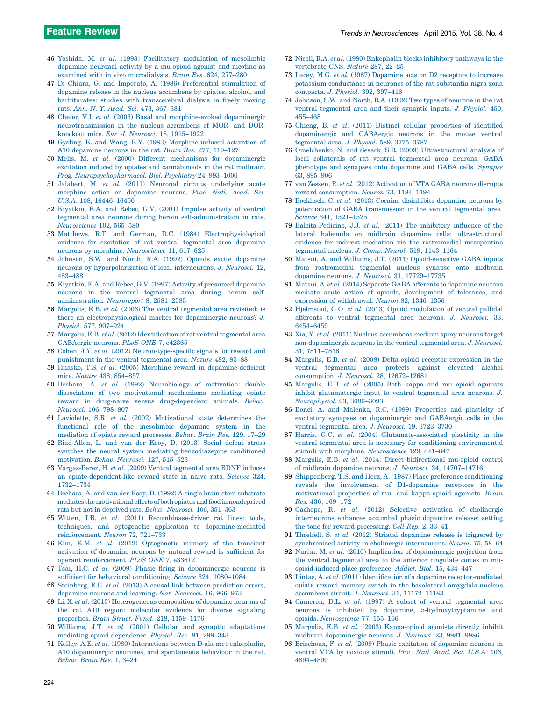- <span id="page-7-0"></span>46 Yoshida, M. et al. (1993) [Facilitatory](http://refhub.elsevier.com/S0166-2236(15)00003-X/sbref0885) modulation of mesolimbic dopamine neuronal activity by a [mu-opioid](http://refhub.elsevier.com/S0166-2236(15)00003-X/sbref0885) agonist and nicotine as examined with in vivo [microdialysis.](http://refhub.elsevier.com/S0166-2236(15)00003-X/sbref0885) Brain Res. 624, 277–280
- 47 Di Chiara, G. and Imperato, A. (1986) [Preferential](http://refhub.elsevier.com/S0166-2236(15)00003-X/sbref0890) stimulation of dopamine release in the nucleus [accumbens](http://refhub.elsevier.com/S0166-2236(15)00003-X/sbref0890) by opiates, alcohol, and barbiturates: studies with [transcerebral](http://refhub.elsevier.com/S0166-2236(15)00003-X/sbref0890) dialysis in freely moving rats. Ann. N. Y. Acad. Sci. 473, [367–381](http://refhub.elsevier.com/S0166-2236(15)00003-X/sbref0890)
- 48 Chefer, V.I. et al. (2003) Basal and [morphine-evoked](http://refhub.elsevier.com/S0166-2236(15)00003-X/sbref0895) dopaminergic [neurotransmission](http://refhub.elsevier.com/S0166-2236(15)00003-X/sbref0895) in the nucleus accumbens of MOR- and DORknockout mice. Eur. J. Neurosci. 18, [1915–1922](http://refhub.elsevier.com/S0166-2236(15)00003-X/sbref0895)
- 49 Gysling, K. and Wang, R.Y. (1983) [Morphine-induced](http://refhub.elsevier.com/S0166-2236(15)00003-X/sbref0900) activation of A10 [dopamine](http://refhub.elsevier.com/S0166-2236(15)00003-X/sbref0900) neurons in the rat. Brain Res. 277, 119–127
- 50 Melis, M. et al. (2000) Different mechanisms for [dopaminergic](http://refhub.elsevier.com/S0166-2236(15)00003-X/sbref0905) excitation induced by opiates and [cannabinoids](http://refhub.elsevier.com/S0166-2236(15)00003-X/sbref0905) in the rat midbrain. Prog. [Neuropsychopharmacol.](http://refhub.elsevier.com/S0166-2236(15)00003-X/sbref0905) Biol. Psychiatry 24, 993–1006
- 51 Jalabert, M. et al. (2011) Neuronal circuits [underlying](http://refhub.elsevier.com/S0166-2236(15)00003-X/sbref0910) acute morphine action on [dopamine](http://refhub.elsevier.com/S0166-2236(15)00003-X/sbref0910) neurons. Proc. Natl. Acad. Sci. U.S.A. 108, [16446–16450](http://refhub.elsevier.com/S0166-2236(15)00003-X/sbref0910)
- 52 [Kiyatkin,](http://refhub.elsevier.com/S0166-2236(15)00003-X/sbref0915) E.A. and Rebec, G.V. (2001) Impulse activity of ventral tegmental area neurons during heroin [self-administration](http://refhub.elsevier.com/S0166-2236(15)00003-X/sbref0915) in rats. [Neuroscience](http://refhub.elsevier.com/S0166-2236(15)00003-X/sbref0915) 102, 565–580
- 53 Matthews, R.T. and German, D.C. (1984) [Electrophysiological](http://refhub.elsevier.com/S0166-2236(15)00003-X/sbref0920) evidence for excitation of rat ventral [tegmental](http://refhub.elsevier.com/S0166-2236(15)00003-X/sbref0920) area dopamine neurons by morphine. [Neuroscience](http://refhub.elsevier.com/S0166-2236(15)00003-X/sbref0920) 11, 617–625
- 54 Johnson, S.W. and North, R.A. (1992) Opioids excite [dopamine](http://refhub.elsevier.com/S0166-2236(15)00003-X/sbref0925) neurons by [hyperpolarization](http://refhub.elsevier.com/S0166-2236(15)00003-X/sbref0925) of local interneurons. J. Neurosci. 12, [483–488](http://refhub.elsevier.com/S0166-2236(15)00003-X/sbref0925)
- 55 Kiyatkin, E.A. and Rebec, G.V. (1997) Activity of [presumed](http://refhub.elsevier.com/S0166-2236(15)00003-X/sbref0930) dopamine neurons in the ventral [tegmental](http://refhub.elsevier.com/S0166-2236(15)00003-X/sbref0930) area during heroin self[administration.](http://refhub.elsevier.com/S0166-2236(15)00003-X/sbref0930) Neuroreport 8, 2581–2585
- 56 Margolis, E.B. et al. (2006) The ventral [tegmental](http://refhub.elsevier.com/S0166-2236(15)00003-X/sbref0935) area revisited: is there an [electrophysiological](http://refhub.elsevier.com/S0166-2236(15)00003-X/sbref0935) marker for dopaminergic neurons? J. Physiol. 577, [907–924](http://refhub.elsevier.com/S0166-2236(15)00003-X/sbref0935)
- 57 Margolis, E.B. et al. (2012) [Identification](http://refhub.elsevier.com/S0166-2236(15)00003-X/sbref0940) of rat ventral tegmental area [GABAergic](http://refhub.elsevier.com/S0166-2236(15)00003-X/sbref0940) neurons. PLoS ONE 7, e42365
- 58 Cohen, J.Y. et al. (2012) [Neuron-type-specific](http://refhub.elsevier.com/S0166-2236(15)00003-X/sbref0945) signals for reward and [punishment](http://refhub.elsevier.com/S0166-2236(15)00003-X/sbref0945) in the ventral tegmental area. Nature 482, 85–88
- 59 Hnasko, T.S. et al. (2005) Morphine reward in [dopamine-deficient](http://refhub.elsevier.com/S0166-2236(15)00003-X/sbref0950) mice. Nature 438, [854–857](http://refhub.elsevier.com/S0166-2236(15)00003-X/sbref0950)
- 60 Bechara, A. et al. (1992) [Neurobiology](http://refhub.elsevier.com/S0166-2236(15)00003-X/sbref0955) of motivation: double dissociation of two [motivational](http://refhub.elsevier.com/S0166-2236(15)00003-X/sbref0955) mechanisms mediating opiate reward in drug-naive versus [drug-dependent](http://refhub.elsevier.com/S0166-2236(15)00003-X/sbref0955) animals. Behav. [Neurosci.](http://refhub.elsevier.com/S0166-2236(15)00003-X/sbref0955) 106, 798–807
- 61 Laviolette, S.R. et al. (2002) [Motivational](http://refhub.elsevier.com/S0166-2236(15)00003-X/sbref0960) state determines the functional role of the [mesolimbic](http://refhub.elsevier.com/S0166-2236(15)00003-X/sbref0960) dopamine system in the [mediation](http://refhub.elsevier.com/S0166-2236(15)00003-X/sbref0960) of opiate reward processes. Behav. Brain Res. 129, 17–29
- 62 [Riad-Allen,](http://refhub.elsevier.com/S0166-2236(15)00003-X/sbref0965) L. and van der Kooy, D. (2013) Social defeat stress switches the neural system mediating [benzodiazepine](http://refhub.elsevier.com/S0166-2236(15)00003-X/sbref0965) conditioned [motivation.](http://refhub.elsevier.com/S0166-2236(15)00003-X/sbref0965) Behav. Neurosci. 127, 515–523
- 63 [Vargas-Perez,](http://refhub.elsevier.com/S0166-2236(15)00003-X/sbref0970) H. et al. (2009) Ventral tegmental area BDNF induces an [opiate-dependent-like](http://refhub.elsevier.com/S0166-2236(15)00003-X/sbref0970) reward state in naive rats. Science 324, [1732–1734](http://refhub.elsevier.com/S0166-2236(15)00003-X/sbref0970)
- 64 Bechara, A. and van der Kooy, D. (1992) A single brain stem [substrate](http://refhub.elsevier.com/S0166-2236(15)00003-X/sbref0975) mediates the motivational effects of both opiates and food in nondeprived rats but not in deprived rats. Behav. [Neurosci.](http://refhub.elsevier.com/S0166-2236(15)00003-X/sbref0975) 106, 351–363
- 65 Witten, I.B. et al. (2011) [Recombinase-driver](http://refhub.elsevier.com/S0166-2236(15)00003-X/sbref0980) rat lines: tools, techniques, and optogenetic application to [dopamine-mediated](http://refhub.elsevier.com/S0166-2236(15)00003-X/sbref0980) [reinforcement.](http://refhub.elsevier.com/S0166-2236(15)00003-X/sbref0980) Neuron 72, 721–733
- 66 Kim, K.M. et al. (2012) [Optogenetic](http://refhub.elsevier.com/S0166-2236(15)00003-X/sbref0985) mimicry of the transient [activation](http://refhub.elsevier.com/S0166-2236(15)00003-X/sbref0985) of dopamine neurons by natural reward is sufficient for operant [reinforcement.](http://refhub.elsevier.com/S0166-2236(15)00003-X/sbref0985) PLoS ONE 7, e33612
- 67 Tsai, H.C. et al. (2009) Phasic firing in [dopaminergic](http://refhub.elsevier.com/S0166-2236(15)00003-X/sbref0990) neurons is sufficient for behavioral [conditioning.](http://refhub.elsevier.com/S0166-2236(15)00003-X/sbref0990) Science 324, 1080–1084
- 68 [Steinberg,](http://refhub.elsevier.com/S0166-2236(15)00003-X/sbref0995) E.E. et al. (2013) A causal link between prediction errors, [dopamine](http://refhub.elsevier.com/S0166-2236(15)00003-X/sbref0995) neurons and learning. Nat. Neurosci. 16, 966–973
- 69 Li, X. et al. (2013) [Heterogeneous](http://refhub.elsevier.com/S0166-2236(15)00003-X/sbref1000) composition of dopamine neurons of the rat A10 region: [molecular](http://refhub.elsevier.com/S0166-2236(15)00003-X/sbref1000) evidence for diverse signaling [properties.](http://refhub.elsevier.com/S0166-2236(15)00003-X/sbref1000) Brain Struct. Funct. 218, 1159–1176
- 70 Williams, J.T. et al. (2001) Cellular and synaptic [adaptations](http://refhub.elsevier.com/S0166-2236(15)00003-X/sbref1005) mediating opioid [dependence.](http://refhub.elsevier.com/S0166-2236(15)00003-X/sbref1005) Physiol. Rev. 81, 299–343
- 71 Kelley, A.E. et al. (1980) Interactions between [D-ala-met-enkephalin,](http://refhub.elsevier.com/S0166-2236(15)00003-X/sbref1010) A10 [dopaminergic](http://refhub.elsevier.com/S0166-2236(15)00003-X/sbref1010) neurones, and spontaneous behaviour in the rat. [Behav.](http://refhub.elsevier.com/S0166-2236(15)00003-X/sbref1010) Brain Res. 1, 3–24
- 72 Nicoll, R.A. et al. (1980) [Enkephalin](http://refhub.elsevier.com/S0166-2236(15)00003-X/sbref1015) blocks inhibitory pathways in the [vertebrate](http://refhub.elsevier.com/S0166-2236(15)00003-X/sbref1015) CNS. Nature 287, 22–25
- 73 Lacey, M.G. et al. (1987) [Dopamine](http://refhub.elsevier.com/S0166-2236(15)00003-X/sbref1020) acts on D2 receptors to increase potassium [conductance](http://refhub.elsevier.com/S0166-2236(15)00003-X/sbref1020) in neurones of the rat substantia nigra zona [compacta.](http://refhub.elsevier.com/S0166-2236(15)00003-X/sbref1020) J. Physiol. 392, 397–416
- 74 [Johnson,](http://refhub.elsevier.com/S0166-2236(15)00003-X/sbref1025) S.W. and North, R.A. (1992) Two types of neurone in the rat ventral [tegmental](http://refhub.elsevier.com/S0166-2236(15)00003-X/sbref1025) area and their synaptic inputs. J. Physiol. 450, [455–468](http://refhub.elsevier.com/S0166-2236(15)00003-X/sbref1025)
- 75 Chieng, B. et al. (2011) Distinct cellular [properties](http://refhub.elsevier.com/S0166-2236(15)00003-X/sbref1030) of identified [dopaminergic](http://refhub.elsevier.com/S0166-2236(15)00003-X/sbref1030) and GABAergic neurons in the mouse ventral tegmental area. J. Physiol. 589, [3775–3787](http://refhub.elsevier.com/S0166-2236(15)00003-X/sbref1030)
- 76 Omelchenko, N. and Sesack, S.R. (2009) [Ultrastructural](http://refhub.elsevier.com/S0166-2236(15)00003-X/sbref1035) analysis of local [collaterals](http://refhub.elsevier.com/S0166-2236(15)00003-X/sbref1035) of rat ventral tegmental area neurons: GABA [phenotype](http://refhub.elsevier.com/S0166-2236(15)00003-X/sbref1035) and synapses onto dopamine and GABA cells. Synapse 63, [895–906](http://refhub.elsevier.com/S0166-2236(15)00003-X/sbref1035)
- 77 van Zessen, R. et al. (2012) [Activation](http://refhub.elsevier.com/S0166-2236(15)00003-X/sbref1040) of VTA GABA neurons disrupts reward [consumption.](http://refhub.elsevier.com/S0166-2236(15)00003-X/sbref1040) Neuron 73, 1184–1194
- 78 Bocklisch, C. et al. (2013) Cocaine [disinhibits](http://refhub.elsevier.com/S0166-2236(15)00003-X/sbref1045) dopamine neurons by potentiation of GABA [transmission](http://refhub.elsevier.com/S0166-2236(15)00003-X/sbref1045) in the ventral tegmental area. Science 341, [1521–1525](http://refhub.elsevier.com/S0166-2236(15)00003-X/sbref1045)
- 79 [Balcita-Pedicino,](http://refhub.elsevier.com/S0166-2236(15)00003-X/sbref1050) J.J. et al. (2011) The inhibitory influence of the lateral habenula on midbrain dopamine cells: [ultrastructural](http://refhub.elsevier.com/S0166-2236(15)00003-X/sbref1050) evidence for indirect mediation via the [rostromedial](http://refhub.elsevier.com/S0166-2236(15)00003-X/sbref1050) mesopontine tegmental nucleus. J. Comp. Neurol. 519, [1143–1164](http://refhub.elsevier.com/S0166-2236(15)00003-X/sbref1050)
- 80 Matsui, A. and Williams, J.T. (2011) [Opioid-sensitive](http://refhub.elsevier.com/S0166-2236(15)00003-X/sbref1055) GABA inputs from [rostromedial](http://refhub.elsevier.com/S0166-2236(15)00003-X/sbref1055) tegmental nucleus synapse onto midbrain dopamine neurons. J. Neurosci. 31, [17729–17735](http://refhub.elsevier.com/S0166-2236(15)00003-X/sbref1055)
- 81 Matsui, A. et al. (2014) Separate GABA afferents to [dopamine](http://refhub.elsevier.com/S0166-2236(15)00003-X/sbref1060) neurons mediate acute action of opioids, [development](http://refhub.elsevier.com/S0166-2236(15)00003-X/sbref1060) of tolerance, and expression of [withdrawal.](http://refhub.elsevier.com/S0166-2236(15)00003-X/sbref1060) Neuron 82, 1346–1356
- 82 Hjelmstad, G.O. et al. (2013) Opioid [modulation](http://refhub.elsevier.com/S0166-2236(15)00003-X/sbref1065) of ventral pallidal afferents to ventral [tegmental](http://refhub.elsevier.com/S0166-2236(15)00003-X/sbref1065) area neurons. J. Neurosci. 33, [6454–6459](http://refhub.elsevier.com/S0166-2236(15)00003-X/sbref1065)
- 83 Xia, Y. et al. (2011) Nucleus [accumbens](http://refhub.elsevier.com/S0166-2236(15)00003-X/sbref1070) medium spiny neurons target [non-dopaminergic](http://refhub.elsevier.com/S0166-2236(15)00003-X/sbref1070) neurons in the ventral tegmental area. J. Neurosci. 31, [7811–7816](http://refhub.elsevier.com/S0166-2236(15)00003-X/sbref1070)
- 84 Margolis, E.B. et al. (2008) [Delta-opioid](http://refhub.elsevier.com/S0166-2236(15)00003-X/sbref1075) receptor expression in the ventral [tegmental](http://refhub.elsevier.com/S0166-2236(15)00003-X/sbref1075) area protects against elevated alcohol [consumption.](http://refhub.elsevier.com/S0166-2236(15)00003-X/sbref1075) J. Neurosci. 28, 12672–12681
- 85 [Margolis,](http://refhub.elsevier.com/S0166-2236(15)00003-X/sbref1080) E.B. et al. (2005) Both kappa and mu opioid agonists inhibit [glutamatergic](http://refhub.elsevier.com/S0166-2236(15)00003-X/sbref1080) input to ventral tegmental area neurons. J. [Neurophysiol.](http://refhub.elsevier.com/S0166-2236(15)00003-X/sbref1080) 93, 3086–3093
- 86 Bonci, A. and Malenka, R.C. (1999) [Properties](http://refhub.elsevier.com/S0166-2236(15)00003-X/sbref1085) and plasticity of excitatory synapses on [dopaminergic](http://refhub.elsevier.com/S0166-2236(15)00003-X/sbref1085) and GABAergic cells in the ventral tegmental area. J. Neurosci. 19, [3723–3730](http://refhub.elsevier.com/S0166-2236(15)00003-X/sbref1085)
- 87 Harris, G.C. et al. (2004) [Glutamate-associated](http://refhub.elsevier.com/S0166-2236(15)00003-X/sbref1090) plasticity in the ventral tegmental area is necessary for conditioning [environmental](http://refhub.elsevier.com/S0166-2236(15)00003-X/sbref1090) stimuli with morphine. [Neuroscience](http://refhub.elsevier.com/S0166-2236(15)00003-X/sbref1090) 129, 841–847
- 88 Margolis, E.B. et al. (2014) Direct [bidirectional](http://refhub.elsevier.com/S0166-2236(15)00003-X/sbref1095) mu-opioid control of midbrain dopamine neurons. J. Neurosci. 34, [14707–14716](http://refhub.elsevier.com/S0166-2236(15)00003-X/sbref1095)
- 89 [Shippenberg,](http://refhub.elsevier.com/S0166-2236(15)00003-X/sbref1100) T.S. and Herz, A. (1987) Place preference conditioning reveals the involvement of [D1-dopamine](http://refhub.elsevier.com/S0166-2236(15)00003-X/sbref1100) receptors in the motivational properties of mu- and [kappa-opioid](http://refhub.elsevier.com/S0166-2236(15)00003-X/sbref1100) agonists. Brain Res. 436, [169–172](http://refhub.elsevier.com/S0166-2236(15)00003-X/sbref1100)
- 90 Cachope, R. et al. (2012) Selective activation of [cholinergic](http://refhub.elsevier.com/S0166-2236(15)00003-X/sbref1105) [interneurons](http://refhub.elsevier.com/S0166-2236(15)00003-X/sbref1105) enhances accumbal phasic dopamine release: setting the tone for reward [processing.](http://refhub.elsevier.com/S0166-2236(15)00003-X/sbref1105) Cell Rep. 2, 33–41
- 91 Threlfell, S. et al. (2012) Striatal [dopamine](http://refhub.elsevier.com/S0166-2236(15)00003-X/sbref1110) release is triggered by synchronized activity in cholinergic [interneurons.](http://refhub.elsevier.com/S0166-2236(15)00003-X/sbref1110) Neuron 75, 58–64
- 92 Narita, M. et al. (2010) Implication of [dopaminergic](http://refhub.elsevier.com/S0166-2236(15)00003-X/sbref1115) projection from the ventral [tegmental](http://refhub.elsevier.com/S0166-2236(15)00003-X/sbref1115) area to the anterior cingulate cortex in mu[opioid-induced](http://refhub.elsevier.com/S0166-2236(15)00003-X/sbref1115) place preference. Addict. Biol. 15, 434–447
- 93 Lintas, A. et al. (2011) Identification of a dopamine [receptor-mediated](http://refhub.elsevier.com/S0166-2236(15)00003-X/sbref1120) opiate reward memory switch in the basolateral [amygdala-nucleus](http://refhub.elsevier.com/S0166-2236(15)00003-X/sbref1120) accumbens circuit. J. Neurosci. 31, [11172–11183](http://refhub.elsevier.com/S0166-2236(15)00003-X/sbref1120)
- 94 Cameron, D.L. et al. (1997) A subset of ventral [tegmental](http://refhub.elsevier.com/S0166-2236(15)00003-X/sbref1125) area neurons is inhibited by dopamine, [5-hydroxytryptamine](http://refhub.elsevier.com/S0166-2236(15)00003-X/sbref1125) and opioids. [Neuroscience](http://refhub.elsevier.com/S0166-2236(15)00003-X/sbref1125) 77, 155–166
- 95 Margolis, E.B. et al. (2003) [Kappa-opioid](http://refhub.elsevier.com/S0166-2236(15)00003-X/sbref1130) agonists directly inhibit midbrain [dopaminergic](http://refhub.elsevier.com/S0166-2236(15)00003-X/sbref1130) neurons. J. Neurosci. 23, 9981–9986
- 96 [Brischoux,](http://refhub.elsevier.com/S0166-2236(15)00003-X/sbref1135) F. et al. (2009) Phasic excitation of dopamine neurons in ventral VTA by noxious [stimuli.](http://refhub.elsevier.com/S0166-2236(15)00003-X/sbref1135) Proc. Natl. Acad. Sci. U.S.A. 106, [4894–4899](http://refhub.elsevier.com/S0166-2236(15)00003-X/sbref1135)